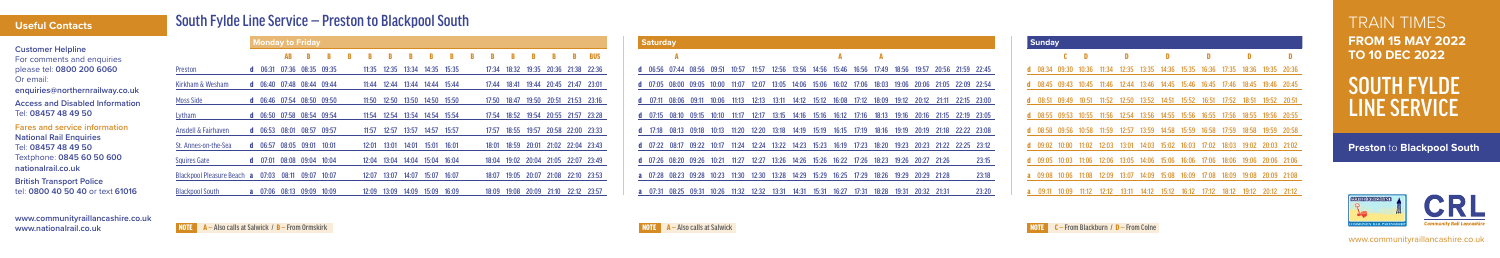TRAIN TIMES **FROM 15 MAY 2022 TO 10 DEC 2022**

SOUTH FYLDE LINE SERVICE

**www.communityraillancashire.co.uk www.nationalrail.co.uk**

# South Fylde Line Service — Preston to Blackpool South

| <b>Customer Helpline</b><br>For comments and enquiries<br>please tel: 0800 200 6060<br>Or email:                                                 |
|--------------------------------------------------------------------------------------------------------------------------------------------------|
| enquiries@northernrailway.co.uk<br><b>Access and Disabled Information</b><br>Tel: 08457 48 49 50                                                 |
| <b>Fares and service information</b><br><b>National Rail Enquiries</b><br>Tel: 08457 48 49 50<br>Textphone: 0845 60 50 600<br>nationalrail.co.uk |
| <b>British Transport Police</b>                                                                                                                  |

tel: **0800 40 50 40** or text **61016**

### **Useful Contacts**

**Monday to Friday**

AB B B B B B B B B B B B B B B BUS

| Preston                    |    | 06:31 | 07:36 | 08:35             | 09:35 | 11:35 | 12:35 | 13:34 | 14:35 | 15:35 | 17:34 | 18:32 | 19:35 | 20:36 | 21:38 | 22:36 |
|----------------------------|----|-------|-------|-------------------|-------|-------|-------|-------|-------|-------|-------|-------|-------|-------|-------|-------|
| Kirkham & Wesham           | d. | 06:40 |       | 07:48 08:44 09:44 |       | 11:44 | 12:44 | 13:44 | 14:44 | 15:44 | 17:44 | 18:41 | 19:44 | 20:45 | 21:47 | 23:01 |
| <b>Moss Side</b>           |    | 06:46 |       | 07:54 08:50 09:50 |       | 11:50 | 12:50 | 13:50 | 14:50 | 15:50 | 17:50 | 18:47 | 19:50 | 20:51 | 21:53 | 23:16 |
| Lytham                     | d. | 06:50 | 07:58 | 08:54 09:54       |       | 11:54 | 12:54 | 13:54 | 14:54 | 15:54 | 17:54 | 18:52 | 19:54 | 20:55 | 21:57 | 23:28 |
| Ansdell & Fairhaven        | a. | 06:53 | 08:01 | 08:57             | 09:57 | 11:57 | 12:57 | 13:57 | 14:57 | 15:57 | 17:57 | 18:55 | 19:57 | 20:58 | 22:00 | 23:33 |
| St. Annes-on-the-Sea       | 0. | 06:57 | 08:05 | 09:01             | 10:01 | 12:01 | 13:01 | 14:01 | 15:01 | 16:01 | 18:01 | 18:59 | 20:01 | 21:02 | 22:04 | 23:43 |
| <b>Squires Gate</b>        | a. | 07:01 |       | 08:08 09:04       | 10:04 | 12:04 | 13:04 | 14:04 | 15:04 | 16:04 | 18:04 | 19:02 | 20:04 | 21:05 | 22:07 | 23:49 |
| Blackpool Pleasure Beach a |    | 07:03 |       | 08:11 09:07       | 10:07 | 12:07 | 13:07 | 14:07 | 15:07 | 16:07 | 18:07 | 19:05 | 20:07 | 21:08 | 22:10 | 23:53 |
| <b>Blackpool South</b>     |    | 07:06 | 08:13 | 09:09             | 10:09 | 12:09 | 13:09 | 14:09 | 15:09 | 16:09 | 18:09 | 19:08 | 20:09 | 21:10 | 22:12 | 23:57 |

| <b>Saturday</b>     |                            |                           |       |       |       |       |                                     |       |       |       |       |       |                               |       |                   |       |
|---------------------|----------------------------|---------------------------|-------|-------|-------|-------|-------------------------------------|-------|-------|-------|-------|-------|-------------------------------|-------|-------------------|-------|
|                     | A                          |                           |       |       |       |       |                                     |       |       |       | A     |       |                               |       |                   |       |
|                     |                            | d 06:56 07:44 08:56 09:51 |       | 10:57 | 11:57 |       | 12:56 13:56 14:56 15:46 16:56 17:49 |       |       |       |       | 18:56 | 19:57                         |       | 20:56 21:59 22:45 |       |
| $d = 07:05 = 08:00$ |                            | 09:05                     | 10:00 | 11:07 | 12:07 |       | 13:05 14:06 15:06 16:02 17:06       |       |       |       | 18:03 |       | 19:06 20:06 21:05 22:09 22:54 |       |                   |       |
| $d = 07:11$         | 08:06                      | 09:11                     | 10:06 | 11:13 | 12:13 | 13:11 | 14:12                               | 15:12 | 16:08 | 17:12 | 18:09 |       | 19:12 20:12 21:11 22:15 23:00 |       |                   |       |
| d $07:15$           | 08:10                      | 09:15                     | 10:10 | 11:17 | 12:17 | 13:15 | 14:16                               | 15:16 | 16:12 | 17:16 | 18:13 | 19:16 | 20:16                         |       | 21:15 22:19 23:05 |       |
| d $17:18$           | 08:13                      | 09:18                     | 10:13 | 11:20 | 12:20 | 13:18 | 14:19                               | 15:19 | 16:15 | 17:19 | 18:16 | 19:19 | 20:19                         |       | 21:18 22:22 23:08 |       |
| $d = 07:22$         | 08:17                      | 09:22                     | 10:17 | 11:24 | 12:24 | 13:22 | 14:23                               | 15:23 | 16:19 | 17:23 | 18:20 | 19:23 | 20:23                         |       | 21:22 22:25       | 23:12 |
| $d = 07:26 = 08:20$ |                            | 09:26                     | 10:21 | 11:27 | 12:27 | 13:26 | 14:26                               | 15:26 | 16:22 | 17:26 | 18:23 | 19:26 | 20:27                         | 21:26 |                   | 23:15 |
|                     | <b>a</b> 07:28 08:23 09:28 |                           | 10:23 | 11:30 | 12:30 | 13:28 | 14:29                               | 15:29 | 16:25 | 17:29 | 18:26 | 19:29 | 20:29                         | 21:28 |                   | 23:18 |
| 07:31               | 08:25                      | 09:31                     | 10:26 | 11:32 | 12:32 | 13:31 | 14:31                               | 15:31 | 16:27 | 17:31 | 18:28 | 19:31 | 20:32                         | 21:31 |                   | 23:20 |



NOTE A — Also calls at Salwick / B — From Ormskirk NOTE C — From Ormskirk NOTE C — From Ormskirk NOTE C — From Colne

**Preston** to **Blackpool South**



| <b>Sunday</b> |       |       |       |       |       |       |       |       |       |       |       |       |       |
|---------------|-------|-------|-------|-------|-------|-------|-------|-------|-------|-------|-------|-------|-------|
|               |       | C     | D     |       | D     |       | D     |       | D     |       | D     |       | D     |
| d             | 08:34 | 09:30 | 10:36 | 11:34 | 12:35 | 13:35 | 14:36 | 15:35 | 16:36 | 17:35 | 18:36 | 19:35 | 20:36 |
| d             | 08:45 | 09:43 | 10:45 | 11:46 | 12:44 | 13:46 | 14:45 | 15:46 | 16:45 | 17:46 | 18:45 | 19:46 | 20:45 |
| d             | 08:51 | 09:49 | 10:51 | 11:52 | 12:50 | 13:52 | 14:51 | 15:52 | 16:51 | 17:52 | 18:51 | 19:52 | 20:51 |
| d             | 08:55 | 09:53 | 10:55 | 11:56 | 12:54 | 13:56 | 14:55 | 15:56 | 16:55 | 17:56 | 18:55 | 19:56 | 20:55 |
| d             | 08:58 | 09:56 | 10:58 | 11:59 | 12:57 | 13:59 | 14:58 | 15:59 | 16:58 | 17:59 | 18:58 | 19:59 | 20:58 |
| d             | 09:02 | 10:00 | 11:02 | 12:03 | 13:01 | 14:03 | 15:02 | 16:03 | 17:02 | 18:03 | 19:02 | 20:03 | 21:02 |
| d             | 09:05 | 10:03 | 11:06 | 12:06 | 13:05 | 14:06 | 15:06 | 16:06 | 17:06 | 18:06 | 19:06 | 20:06 | 21:06 |
| a             | 09:08 | 10:06 | 11:08 | 12:09 | 13:07 | 14:09 | 15:08 | 16:09 | 17:08 | 18:09 | 19:08 | 20:09 | 21:08 |
| a             | 09:11 | 10:09 | 11:12 | 12:12 | 13:11 | 14:12 | 15:12 | 16:12 | 17:12 | 18:12 | 19:12 | 20:12 | 21:12 |